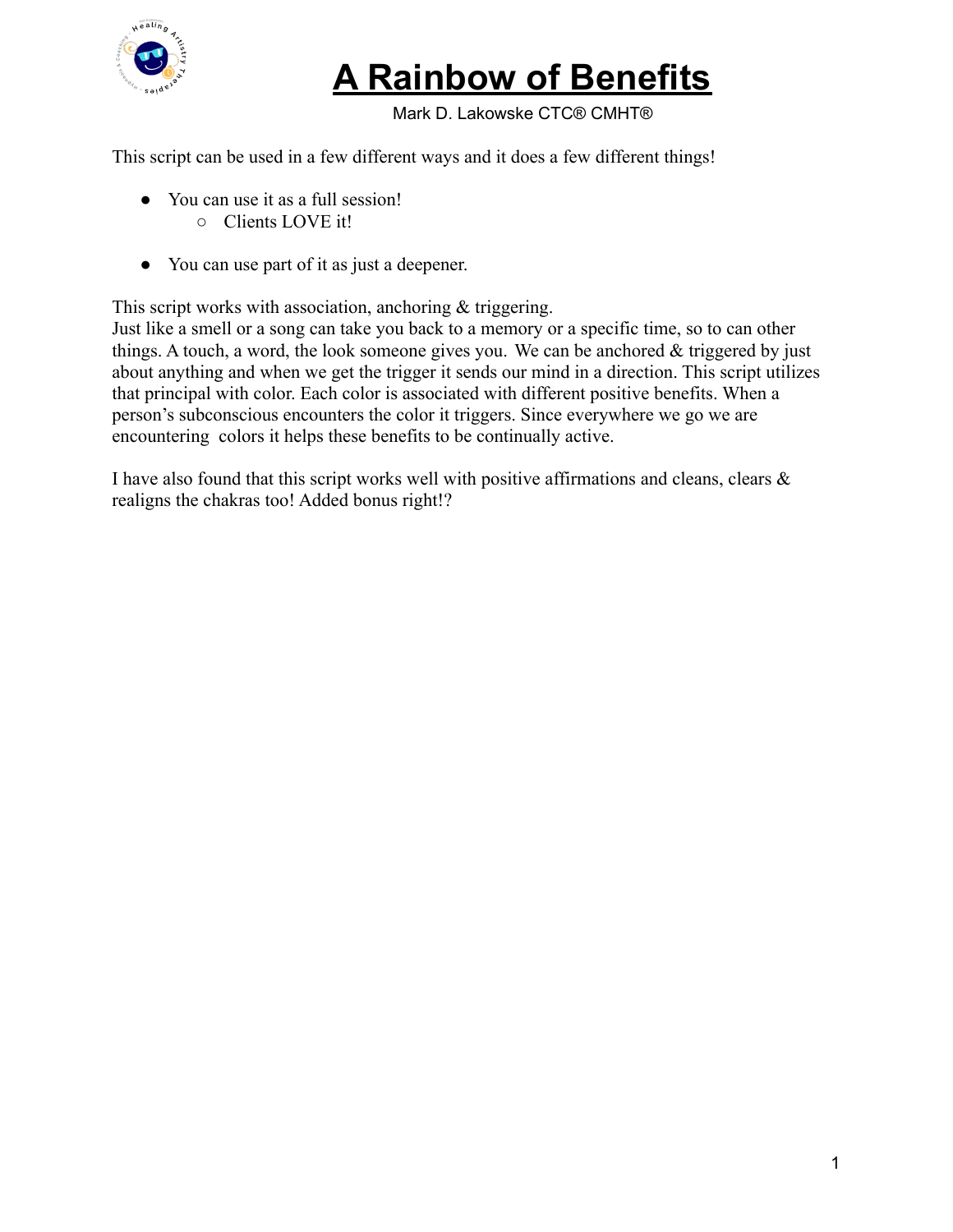

Mark D. Lakowske CTC® CMHT®

This script can be used in a few different ways and it does a few different things!

- You can use it as a full session! ○ Clients LOVE it!
- You can use part of it as just a deepener.

This script works with association, anchoring & triggering.

Just like a smell or a song can take you back to a memory or a specific time, so to can other things. A touch, a word, the look someone gives you. We can be anchored & triggered by just about anything and when we get the trigger it sends our mind in a direction. This script utilizes that principal with color. Each color is associated with different positive benefits. When a person's subconscious encounters the color it triggers. Since everywhere we go we are encountering colors it helps these benefits to be continually active.

I have also found that this script works well with positive affirmations and cleans, clears  $\&$ realigns the chakras too! Added bonus right!?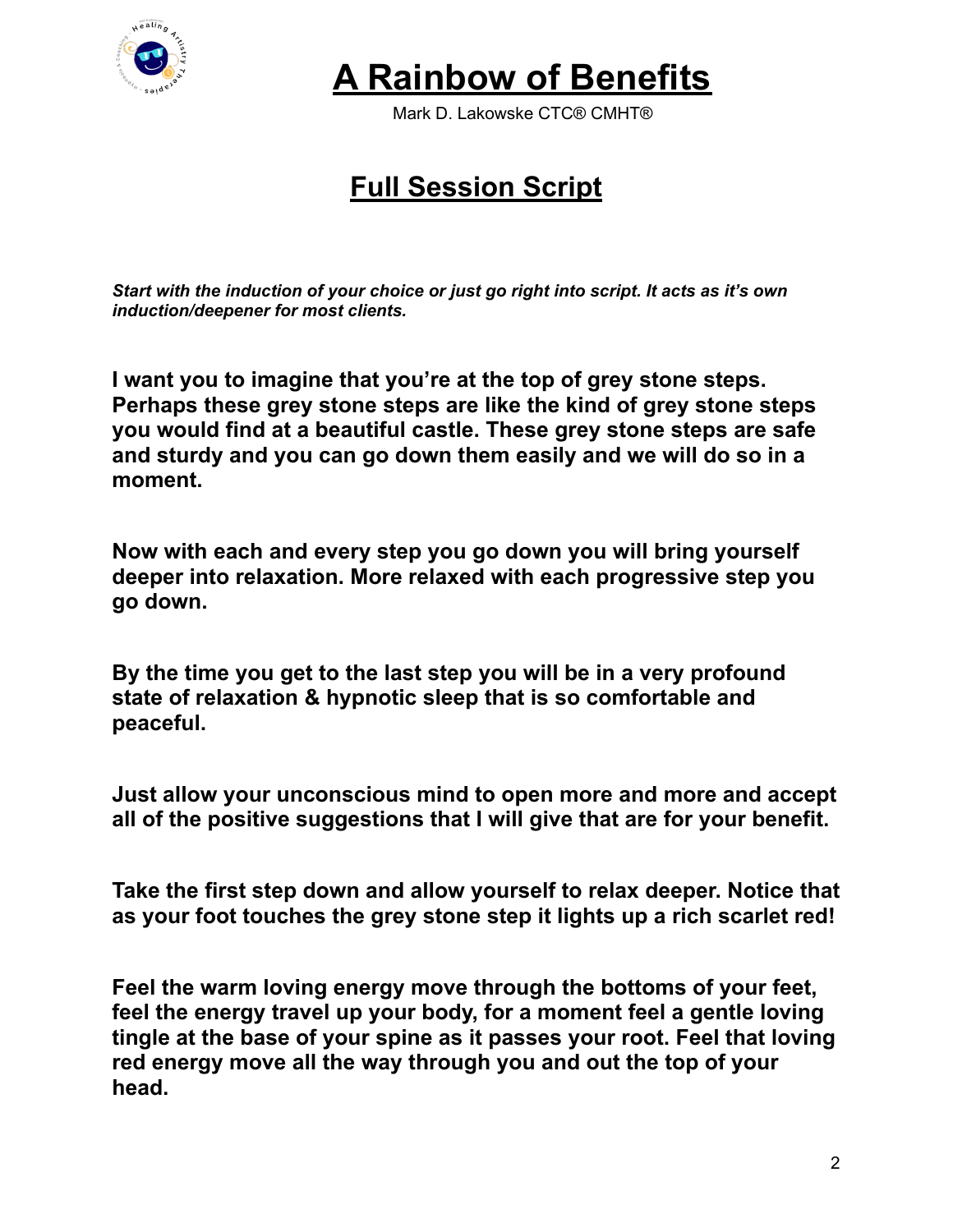

Mark D. Lakowske CTC® CMHT®

#### **Full Session Script**

*Start with the induction of your choice or just go right into script. It acts as it's own induction/deepener for most clients.*

**I want you to imagine that you're at the top of grey stone steps. Perhaps these grey stone steps are like the kind of grey stone steps you would find at a beautiful castle. These grey stone steps are safe and sturdy and you can go down them easily and we will do so in a moment.**

**Now with each and every step you go down you will bring yourself deeper into relaxation. More relaxed with each progressive step you go down.**

**By the time you get to the last step you will be in a very profound state of relaxation & hypnotic sleep that is so comfortable and peaceful.**

**Just allow your unconscious mind to open more and more and accept all of the positive suggestions that I will give that are for your benefit.**

**Take the first step down and allow yourself to relax deeper. Notice that as your foot touches the grey stone step it lights up a rich scarlet red!**

**Feel the warm loving energy move through the bottoms of your feet, feel the energy travel up your body, for a moment feel a gentle loving tingle at the base of your spine as it passes your root. Feel that loving red energy move all the way through you and out the top of your head.**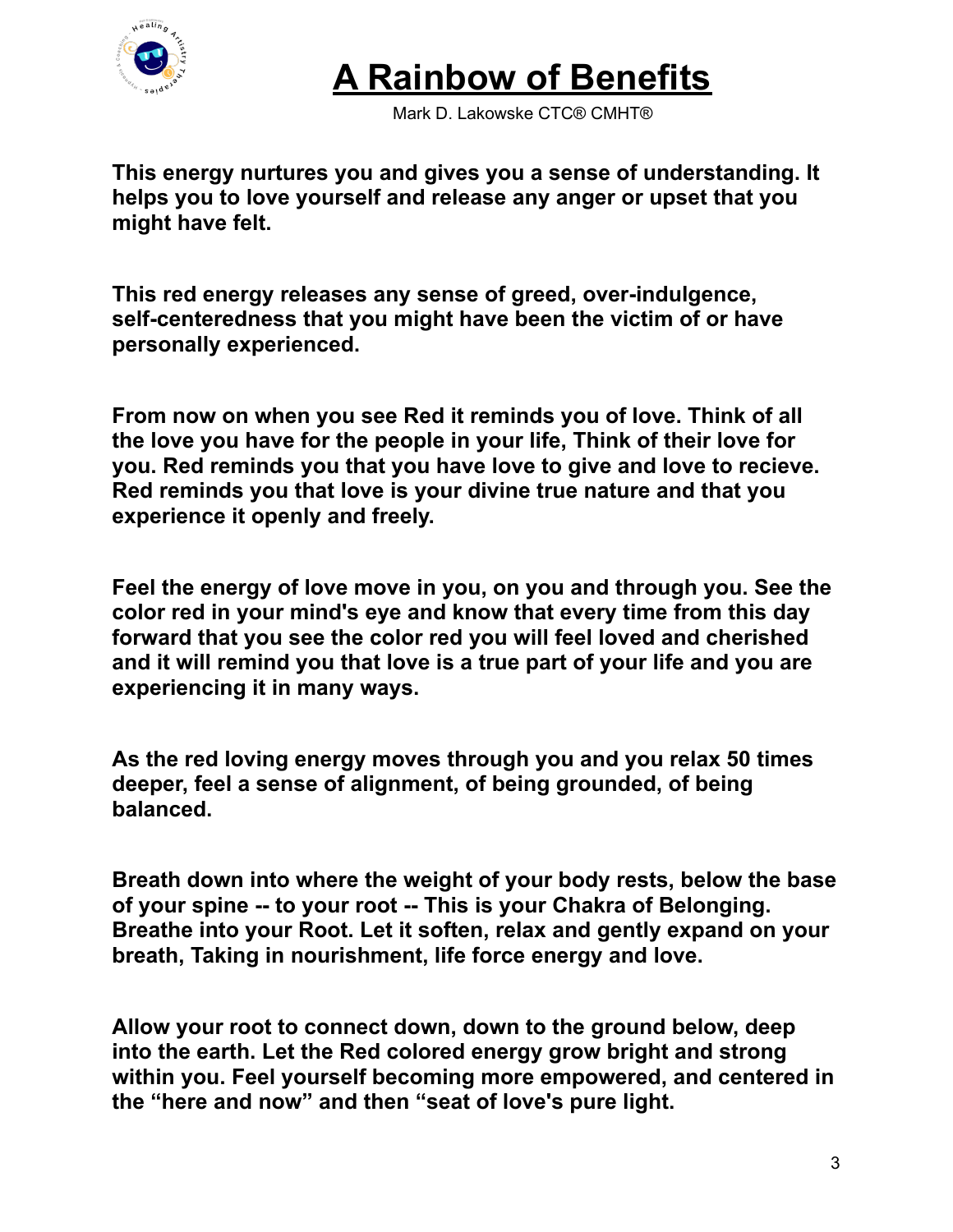

Mark D. Lakowske CTC® CMHT®

**This energy nurtures you and gives you a sense of understanding. It helps you to love yourself and release any anger or upset that you might have felt.**

**This red energy releases any sense of greed, over-indulgence, self-centeredness that you might have been the victim of or have personally experienced.**

**From now on when you see Red it reminds you of love. Think of all the love you have for the people in your life, Think of their love for you. Red reminds you that you have love to give and love to recieve. Red reminds you that love is your divine true nature and that you experience it openly and freely.**

**Feel the energy of love move in you, on you and through you. See the color red in your mind's eye and know that every time from this day forward that you see the color red you will feel loved and cherished and it will remind you that love is a true part of your life and you are experiencing it in many ways.**

**As the red loving energy moves through you and you relax 50 times deeper, feel a sense of alignment, of being grounded, of being balanced.**

**Breath down into where the weight of your body rests, below the base of your spine -- to your root -- This is your Chakra of Belonging. Breathe into your Root. Let it soften, relax and gently expand on your breath, Taking in nourishment, life force energy and love.**

**Allow your root to connect down, down to the ground below, deep into the earth. Let the Red colored energy grow bright and strong within you. Feel yourself becoming more empowered, and centered in the "here and now" and then "seat of love's pure light.**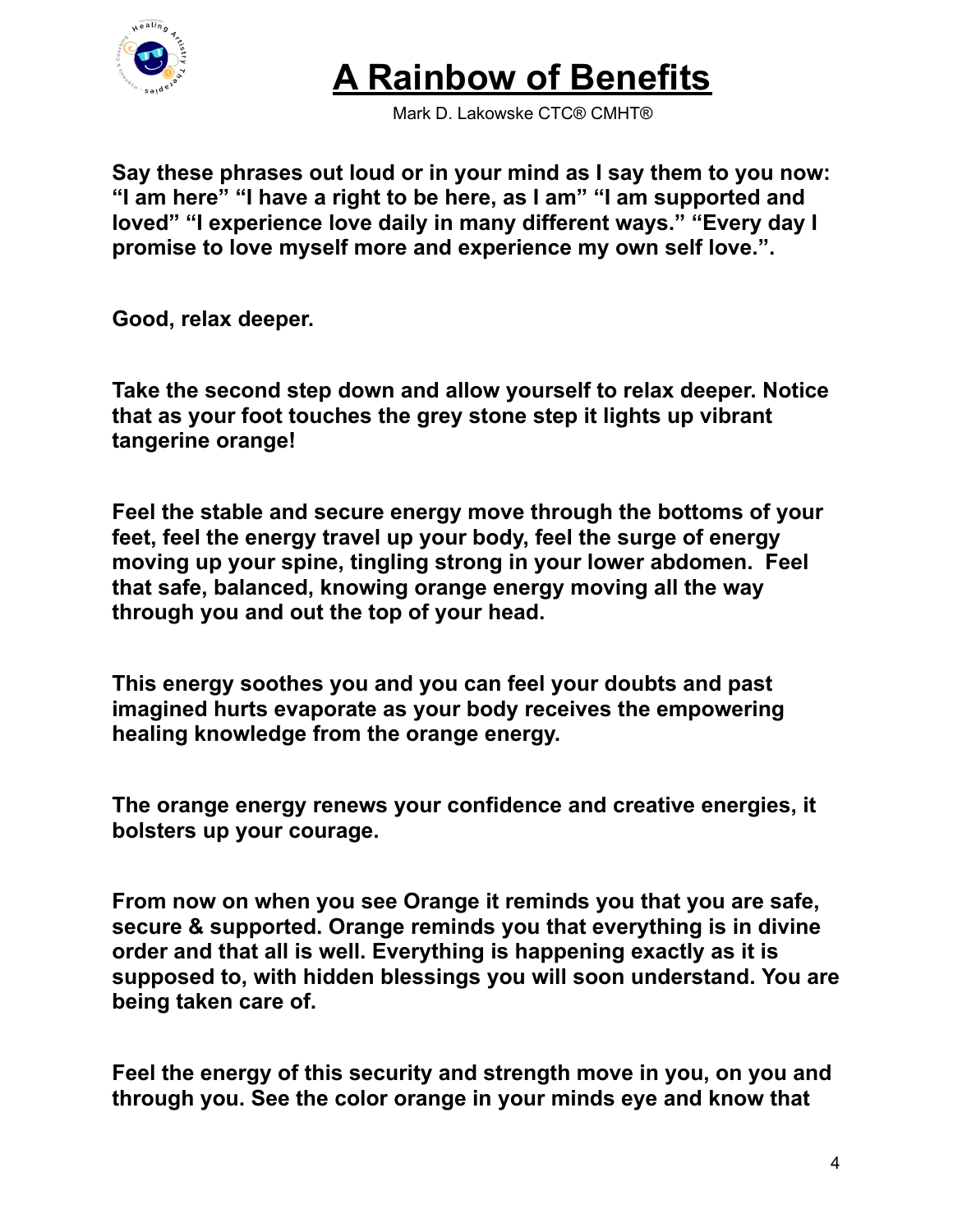

Mark D. Lakowske CTC® CMHT®

**Say these phrases out loud or in your mind as I say them to you now: "I am here" "I have a right to be here, as I am" "I am supported and loved" "I experience love daily in many different ways." "Every day I promise to love myself more and experience my own self love.".**

**Good, relax deeper.**

**Take the second step down and allow yourself to relax deeper. Notice that as your foot touches the grey stone step it lights up vibrant tangerine orange!**

**Feel the stable and secure energy move through the bottoms of your feet, feel the energy travel up your body, feel the surge of energy moving up your spine, tingling strong in your lower abdomen. Feel that safe, balanced, knowing orange energy moving all the way through you and out the top of your head.**

**This energy soothes you and you can feel your doubts and past imagined hurts evaporate as your body receives the empowering healing knowledge from the orange energy.**

**The orange energy renews your confidence and creative energies, it bolsters up your courage.**

**From now on when you see Orange it reminds you that you are safe, secure & supported. Orange reminds you that everything is in divine order and that all is well. Everything is happening exactly as it is supposed to, with hidden blessings you will soon understand. You are being taken care of.**

**Feel the energy of this security and strength move in you, on you and through you. See the color orange in your minds eye and know that**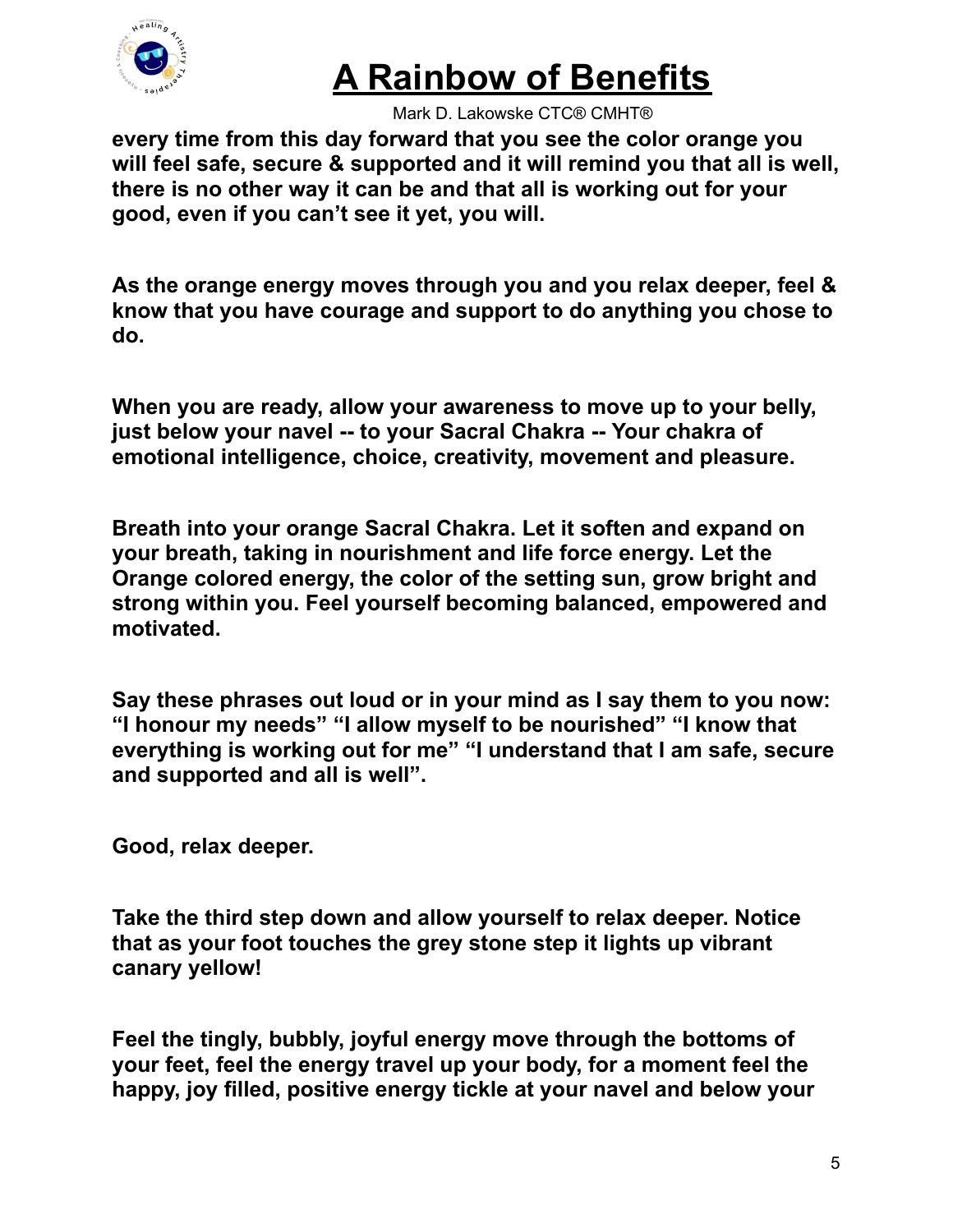

Mark D. Lakowske CTC® CMHT®

**every time from this day forward that you see the color orange you will feel safe, secure & supported and it will remind you that all is well, there is no other way it can be and that all is working out for your good, even if you can't see it yet, you will.**

**As the orange energy moves through you and you relax deeper, feel & know that you have courage and support to do anything you chose to do.**

**When you are ready, allow your awareness to move up to your belly, just below your navel -- to your Sacral Chakra -- Your chakra of emotional intelligence, choice, creativity, movement and pleasure.**

**Breath into your orange Sacral Chakra. Let it soften and expand on your breath, taking in nourishment and life force energy. Let the Orange colored energy, the color of the setting sun, grow bright and strong within you. Feel yourself becoming balanced, empowered and motivated.**

**Say these phrases out loud or in your mind as I say them to you now: "I honour my needs" "I allow myself to be nourished" "I know that everything is working out for me" "I understand that I am safe, secure and supported and all is well".**

**Good, relax deeper.**

**Take the third step down and allow yourself to relax deeper. Notice that as your foot touches the grey stone step it lights up vibrant canary yellow!**

**Feel the tingly, bubbly, joyful energy move through the bottoms of your feet, feel the energy travel up your body, for a moment feel the happy, joy filled, positive energy tickle at your navel and below your**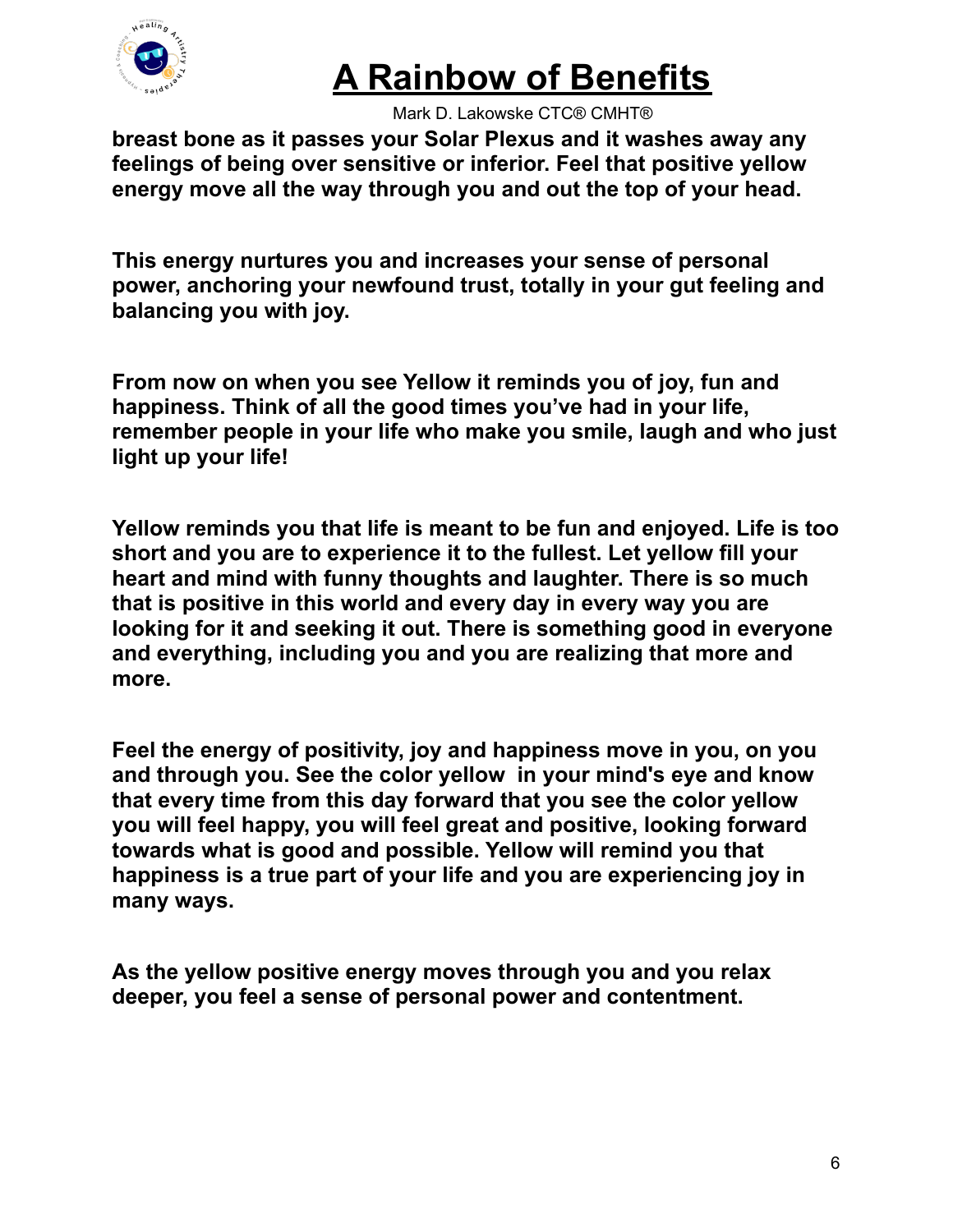

Mark D. Lakowske CTC® CMHT®

**breast bone as it passes your Solar Plexus and it washes away any feelings of being over sensitive or inferior. Feel that positive yellow energy move all the way through you and out the top of your head.**

**This energy nurtures you and increases your sense of personal power, anchoring your newfound trust, totally in your gut feeling and balancing you with joy.**

**From now on when you see Yellow it reminds you of joy, fun and happiness. Think of all the good times you've had in your life, remember people in your life who make you smile, laugh and who just light up your life!**

**Yellow reminds you that life is meant to be fun and enjoyed. Life is too short and you are to experience it to the fullest. Let yellow fill your heart and mind with funny thoughts and laughter. There is so much that is positive in this world and every day in every way you are looking for it and seeking it out. There is something good in everyone and everything, including you and you are realizing that more and more.**

**Feel the energy of positivity, joy and happiness move in you, on you and through you. See the color yellow in your mind's eye and know that every time from this day forward that you see the color yellow you will feel happy, you will feel great and positive, looking forward towards what is good and possible. Yellow will remind you that happiness is a true part of your life and you are experiencing joy in many ways.**

**As the yellow positive energy moves through you and you relax deeper, you feel a sense of personal power and contentment.**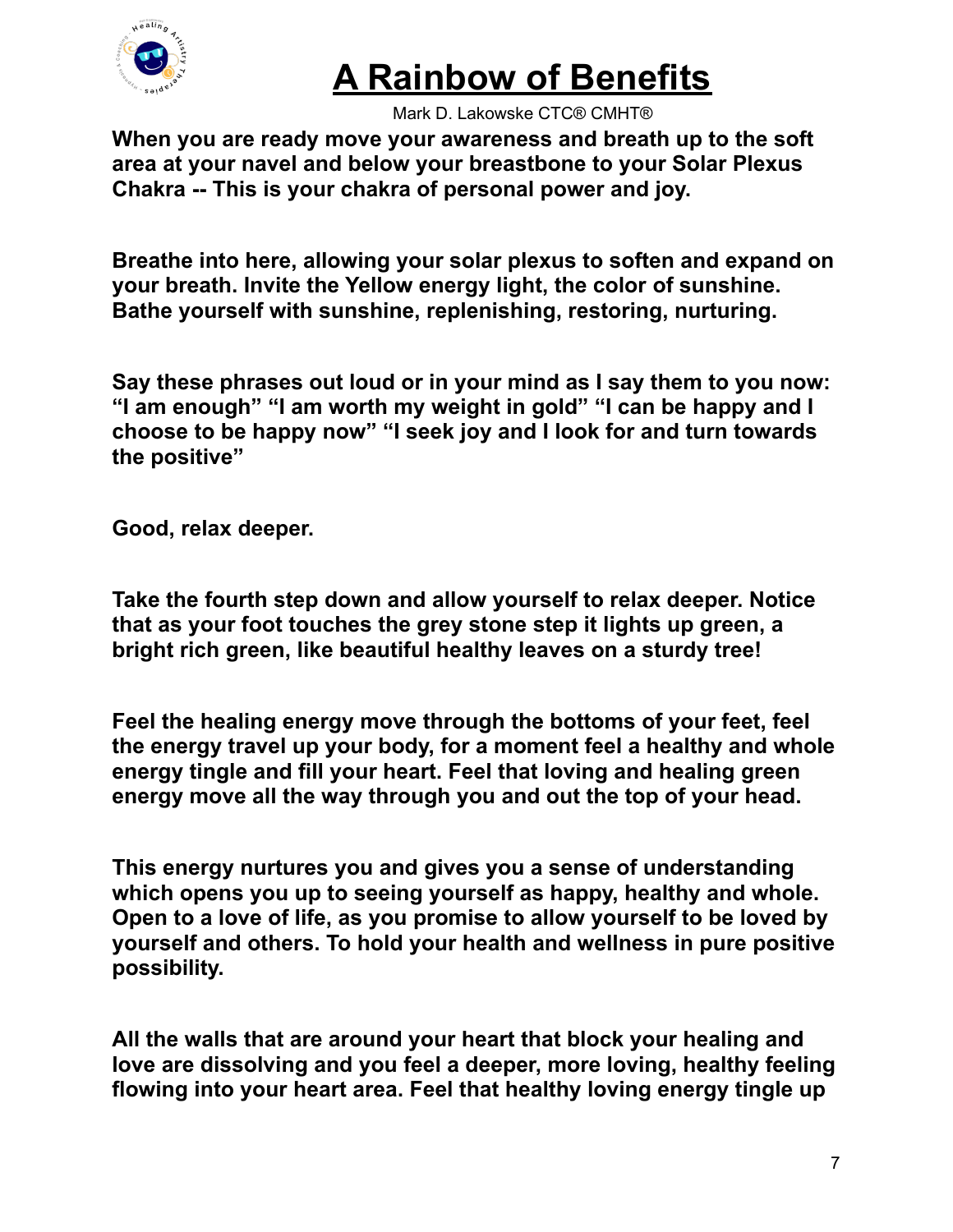

Mark D. Lakowske CTC® CMHT®

**When you are ready move your awareness and breath up to the soft area at your navel and below your breastbone to your Solar Plexus Chakra -- This is your chakra of personal power and joy.**

**Breathe into here, allowing your solar plexus to soften and expand on your breath. Invite the Yellow energy light, the color of sunshine. Bathe yourself with sunshine, replenishing, restoring, nurturing.**

**Say these phrases out loud or in your mind as I say them to you now: "I am enough" "I am worth my weight in gold" "I can be happy and I choose to be happy now" "I seek joy and I look for and turn towards the positive"**

**Good, relax deeper.**

**Take the fourth step down and allow yourself to relax deeper. Notice that as your foot touches the grey stone step it lights up green, a bright rich green, like beautiful healthy leaves on a sturdy tree!**

**Feel the healing energy move through the bottoms of your feet, feel the energy travel up your body, for a moment feel a healthy and whole energy tingle and fill your heart. Feel that loving and healing green energy move all the way through you and out the top of your head.**

**This energy nurtures you and gives you a sense of understanding which opens you up to seeing yourself as happy, healthy and whole. Open to a love of life, as you promise to allow yourself to be loved by yourself and others. To hold your health and wellness in pure positive possibility.**

**All the walls that are around your heart that block your healing and love are dissolving and you feel a deeper, more loving, healthy feeling flowing into your heart area. Feel that healthy loving energy tingle up**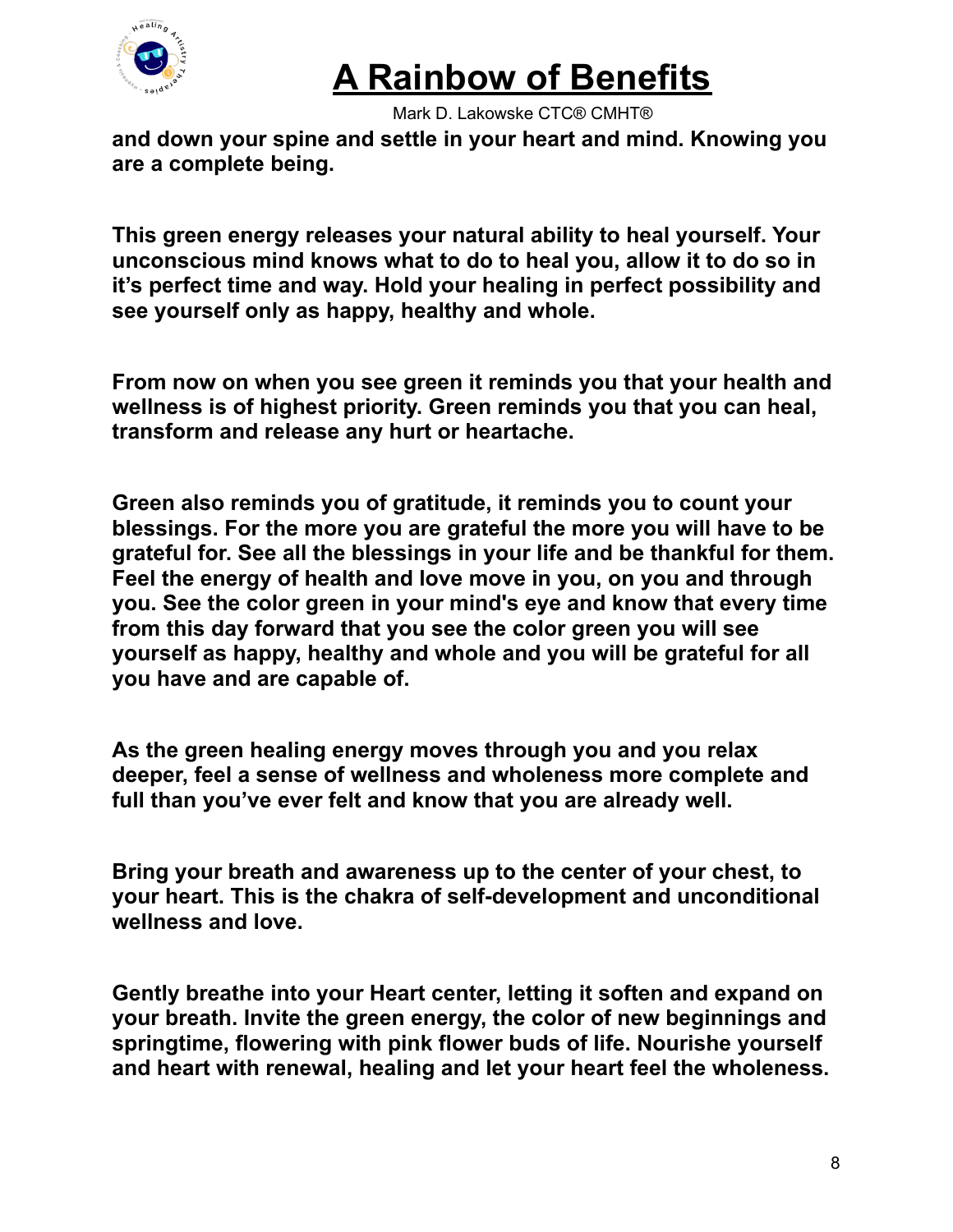

Mark D. Lakowske CTC® CMHT®

**and down your spine and settle in your heart and mind. Knowing you are a complete being.**

**This green energy releases your natural ability to heal yourself. Your unconscious mind knows what to do to heal you, allow it to do so in it's perfect time and way. Hold your healing in perfect possibility and see yourself only as happy, healthy and whole.**

**From now on when you see green it reminds you that your health and wellness is of highest priority. Green reminds you that you can heal, transform and release any hurt or heartache.**

**Green also reminds you of gratitude, it reminds you to count your blessings. For the more you are grateful the more you will have to be grateful for. See all the blessings in your life and be thankful for them. Feel the energy of health and love move in you, on you and through you. See the color green in your mind's eye and know that every time from this day forward that you see the color green you will see yourself as happy, healthy and whole and you will be grateful for all you have and are capable of.**

**As the green healing energy moves through you and you relax deeper, feel a sense of wellness and wholeness more complete and full than you've ever felt and know that you are already well.**

**Bring your breath and awareness up to the center of your chest, to your heart. This is the chakra of self-development and unconditional wellness and love.**

**Gently breathe into your Heart center, letting it soften and expand on your breath. Invite the green energy, the color of new beginnings and springtime, flowering with pink flower buds of life. Nourishe yourself and heart with renewal, healing and let your heart feel the wholeness.**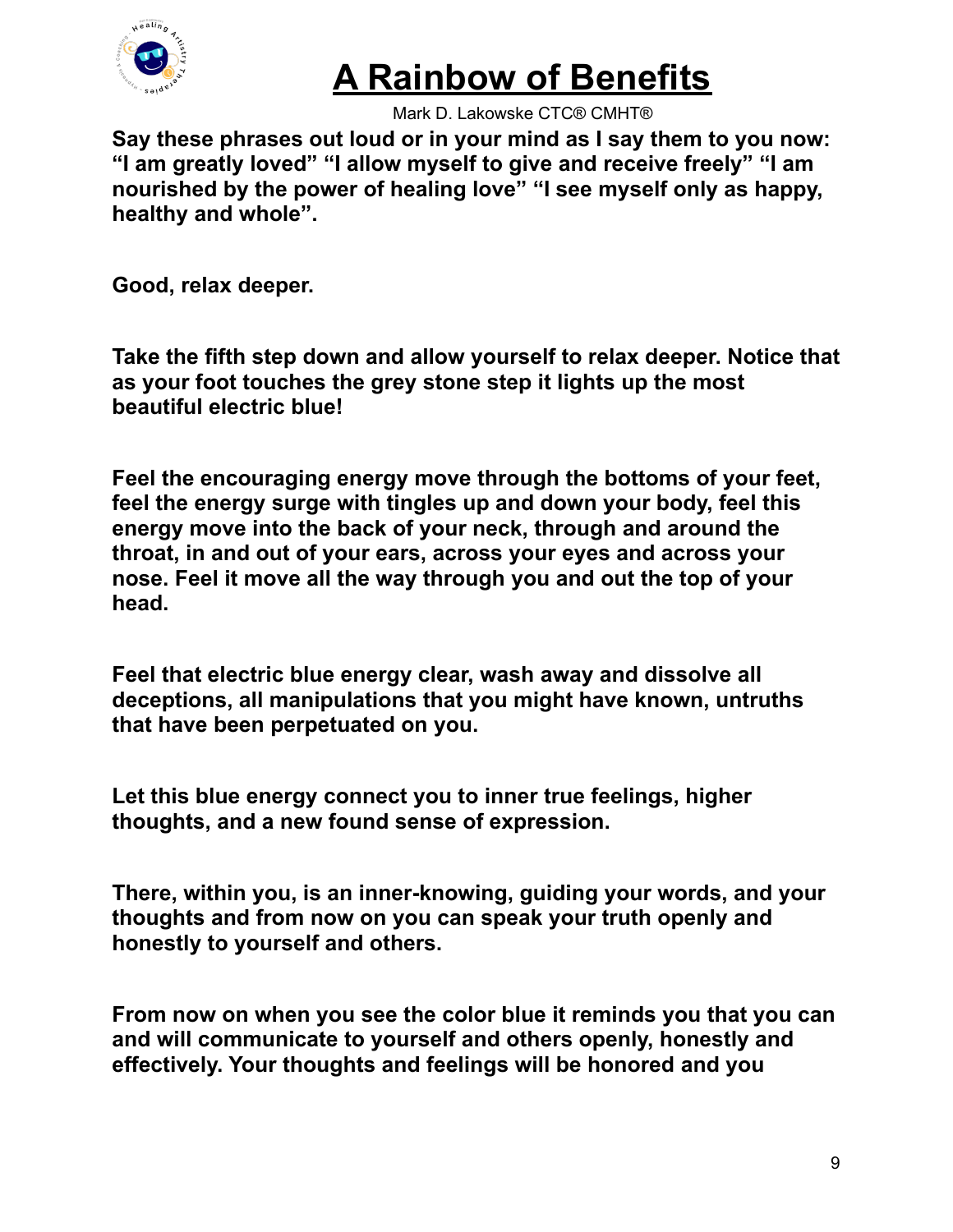

Mark D. Lakowske CTC® CMHT®

**Say these phrases out loud or in your mind as I say them to you now: "I am greatly loved" "I allow myself to give and receive freely" "I am nourished by the power of healing love" "I see myself only as happy, healthy and whole".**

**Good, relax deeper.**

**Take the fifth step down and allow yourself to relax deeper. Notice that as your foot touches the grey stone step it lights up the most beautiful electric blue!**

**Feel the encouraging energy move through the bottoms of your feet, feel the energy surge with tingles up and down your body, feel this energy move into the back of your neck, through and around the throat, in and out of your ears, across your eyes and across your nose. Feel it move all the way through you and out the top of your head.**

**Feel that electric blue energy clear, wash away and dissolve all deceptions, all manipulations that you might have known, untruths that have been perpetuated on you.**

**Let this blue energy connect you to inner true feelings, higher thoughts, and a new found sense of expression.**

**There, within you, is an inner-knowing, guiding your words, and your thoughts and from now on you can speak your truth openly and honestly to yourself and others.**

**From now on when you see the color blue it reminds you that you can and will communicate to yourself and others openly, honestly and effectively. Your thoughts and feelings will be honored and you**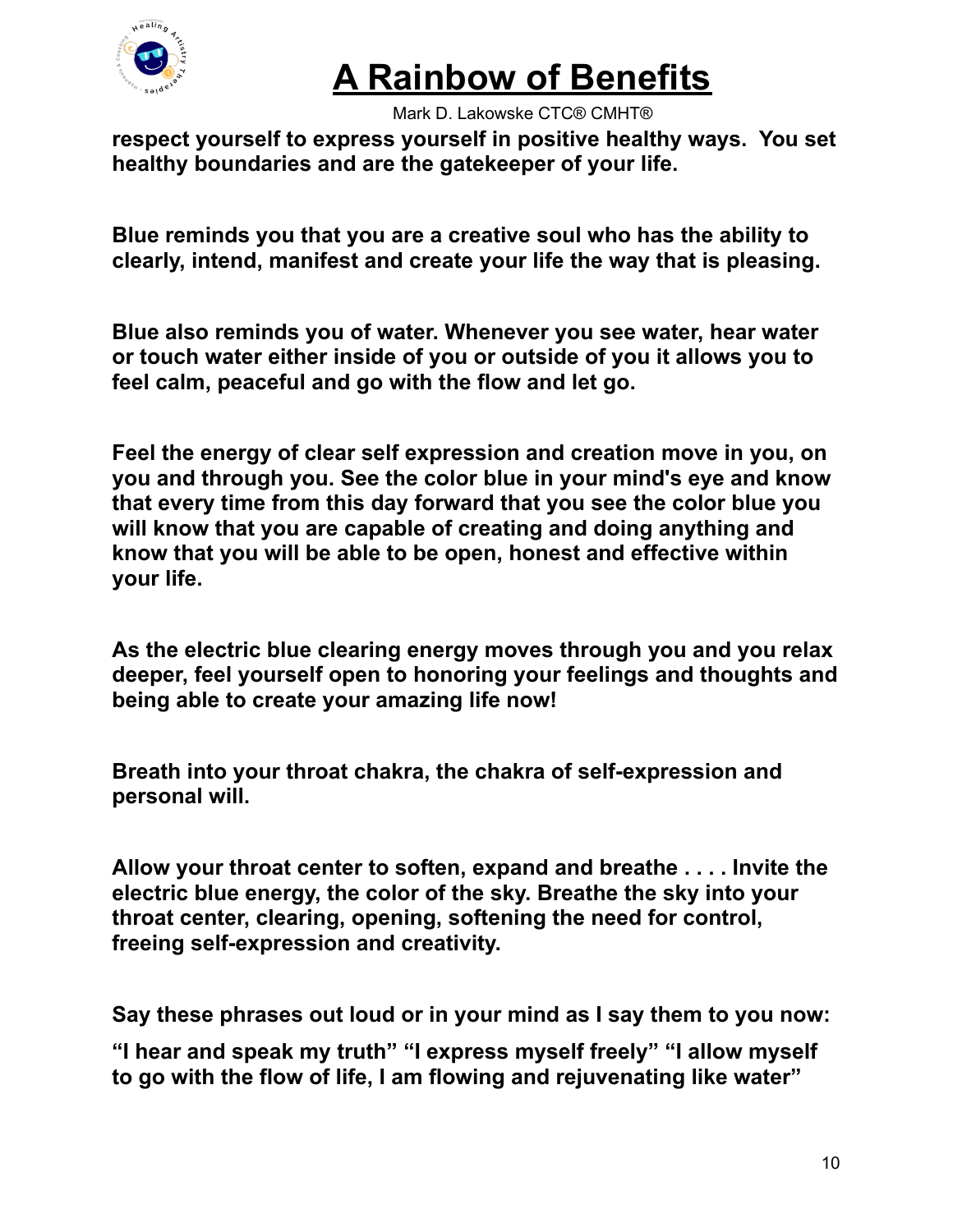

Mark D. Lakowske CTC® CMHT®

**respect yourself to express yourself in positive healthy ways. You set healthy boundaries and are the gatekeeper of your life.**

**Blue reminds you that you are a creative soul who has the ability to clearly, intend, manifest and create your life the way that is pleasing.**

**Blue also reminds you of water. Whenever you see water, hear water or touch water either inside of you or outside of you it allows you to feel calm, peaceful and go with the flow and let go.**

**Feel the energy of clear self expression and creation move in you, on you and through you. See the color blue in your mind's eye and know that every time from this day forward that you see the color blue you will know that you are capable of creating and doing anything and know that you will be able to be open, honest and effective within your life.**

**As the electric blue clearing energy moves through you and you relax deeper, feel yourself open to honoring your feelings and thoughts and being able to create your amazing life now!**

**Breath into your throat chakra, the chakra of self-expression and personal will.**

**Allow your throat center to soften, expand and breathe . . . . Invite the electric blue energy, the color of the sky. Breathe the sky into your throat center, clearing, opening, softening the need for control, freeing self-expression and creativity.**

**Say these phrases out loud or in your mind as I say them to you now:**

**"I hear and speak my truth" "I express myself freely" "I allow myself to go with the flow of life, I am flowing and rejuvenating like water"**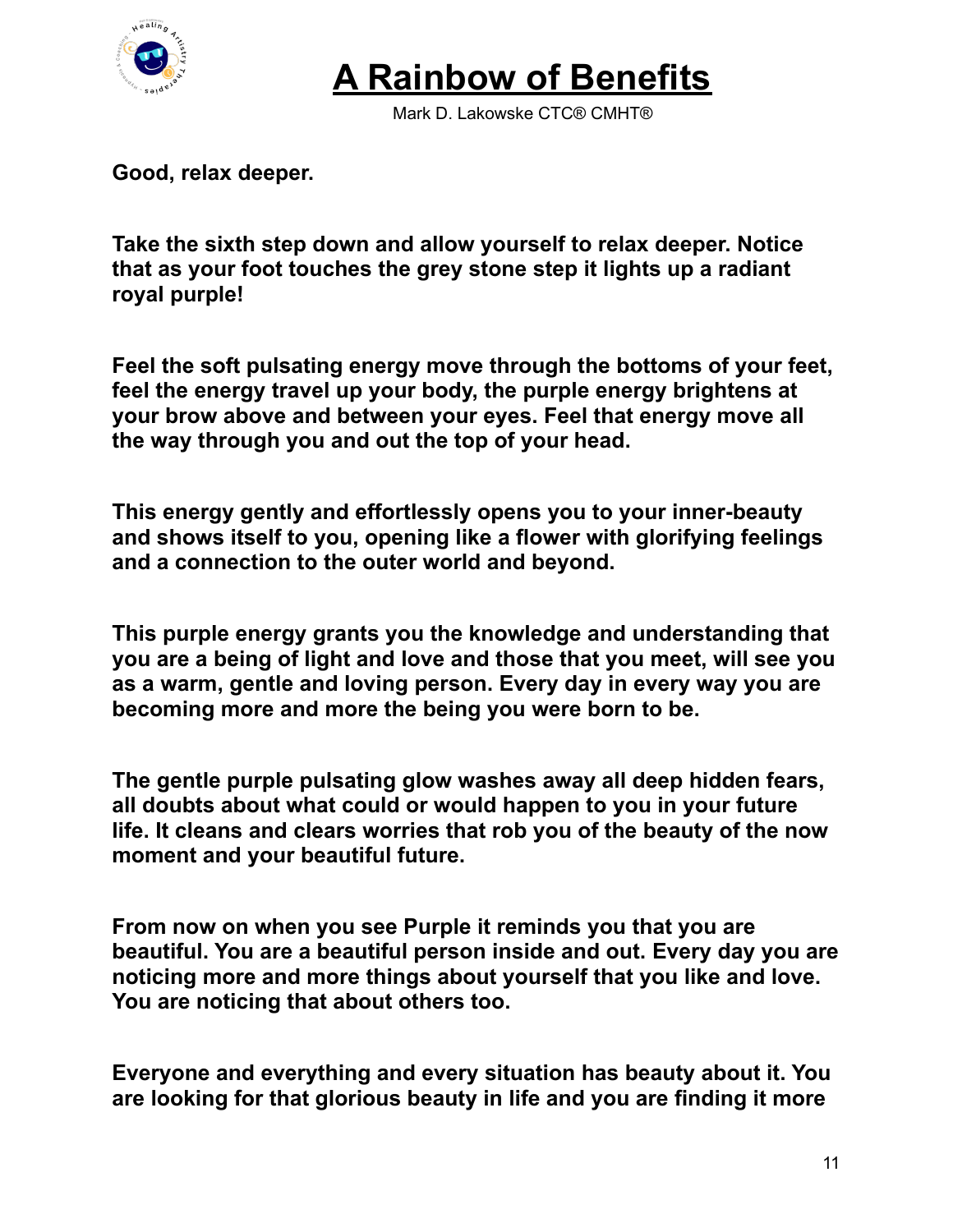

Mark D. Lakowske CTC® CMHT®

**Good, relax deeper.**

**Take the sixth step down and allow yourself to relax deeper. Notice that as your foot touches the grey stone step it lights up a radiant royal purple!**

**Feel the soft pulsating energy move through the bottoms of your feet, feel the energy travel up your body, the purple energy brightens at your brow above and between your eyes. Feel that energy move all the way through you and out the top of your head.**

**This energy gently and effortlessly opens you to your inner-beauty and shows itself to you, opening like a flower with glorifying feelings and a connection to the outer world and beyond.**

**This purple energy grants you the knowledge and understanding that you are a being of light and love and those that you meet, will see you as a warm, gentle and loving person. Every day in every way you are becoming more and more the being you were born to be.**

**The gentle purple pulsating glow washes away all deep hidden fears, all doubts about what could or would happen to you in your future life. It cleans and clears worries that rob you of the beauty of the now moment and your beautiful future.**

**From now on when you see Purple it reminds you that you are beautiful. You are a beautiful person inside and out. Every day you are noticing more and more things about yourself that you like and love. You are noticing that about others too.**

**Everyone and everything and every situation has beauty about it. You are looking for that glorious beauty in life and you are finding it more**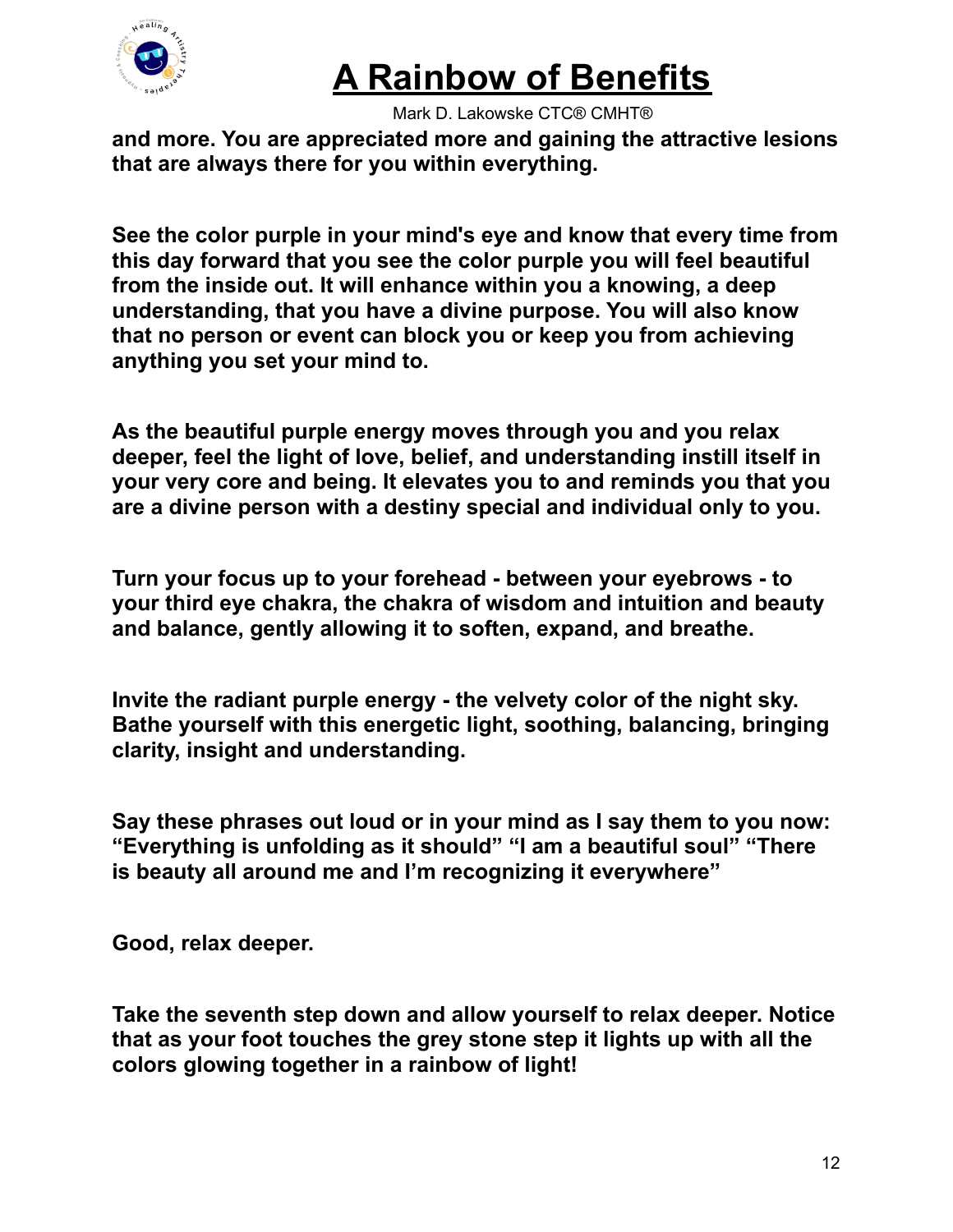

Mark D. Lakowske CTC® CMHT®

**and more. You are appreciated more and gaining the attractive lesions that are always there for you within everything.**

**See the color purple in your mind's eye and know that every time from this day forward that you see the color purple you will feel beautiful from the inside out. It will enhance within you a knowing, a deep understanding, that you have a divine purpose. You will also know that no person or event can block you or keep you from achieving anything you set your mind to.**

**As the beautiful purple energy moves through you and you relax deeper, feel the light of love, belief, and understanding instill itself in your very core and being. It elevates you to and reminds you that you are a divine person with a destiny special and individual only to you.**

**Turn your focus up to your forehead - between your eyebrows - to your third eye chakra, the chakra of wisdom and intuition and beauty and balance, gently allowing it to soften, expand, and breathe.**

**Invite the radiant purple energy - the velvety color of the night sky. Bathe yourself with this energetic light, soothing, balancing, bringing clarity, insight and understanding.**

**Say these phrases out loud or in your mind as I say them to you now: "Everything is unfolding as it should" "I am a beautiful soul" "There is beauty all around me and I'm recognizing it everywhere"**

**Good, relax deeper.**

**Take the seventh step down and allow yourself to relax deeper. Notice that as your foot touches the grey stone step it lights up with all the colors glowing together in a rainbow of light!**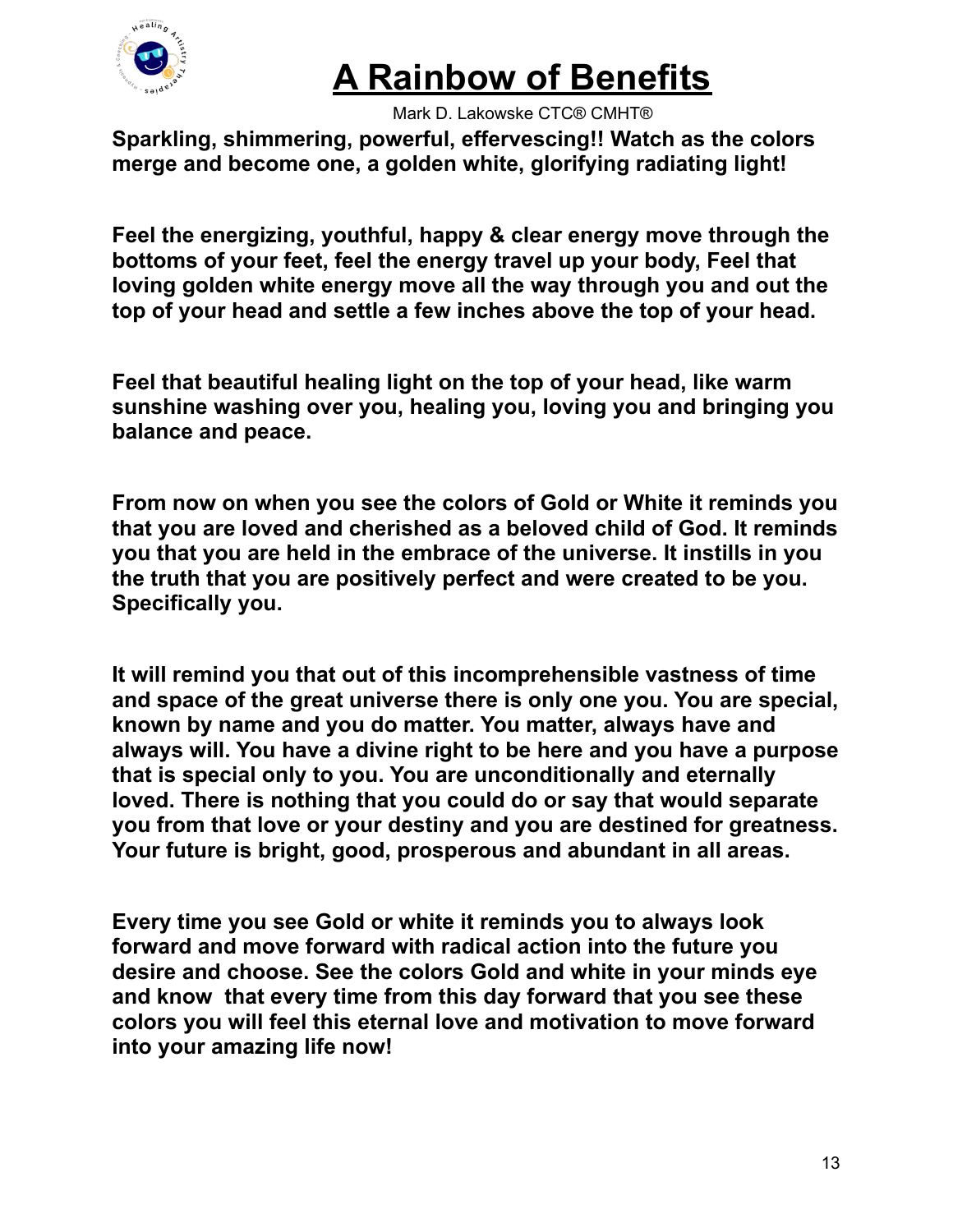

Mark D. Lakowske CTC® CMHT®

**Sparkling, shimmering, powerful, effervescing!! Watch as the colors merge and become one, a golden white, glorifying radiating light!**

**Feel the energizing, youthful, happy & clear energy move through the bottoms of your feet, feel the energy travel up your body, Feel that loving golden white energy move all the way through you and out the top of your head and settle a few inches above the top of your head.**

**Feel that beautiful healing light on the top of your head, like warm sunshine washing over you, healing you, loving you and bringing you balance and peace.**

**From now on when you see the colors of Gold or White it reminds you that you are loved and cherished as a beloved child of God. It reminds you that you are held in the embrace of the universe. It instills in you the truth that you are positively perfect and were created to be you. Specifically you.**

**It will remind you that out of this incomprehensible vastness of time and space of the great universe there is only one you. You are special, known by name and you do matter. You matter, always have and always will. You have a divine right to be here and you have a purpose that is special only to you. You are unconditionally and eternally loved. There is nothing that you could do or say that would separate you from that love or your destiny and you are destined for greatness. Your future is bright, good, prosperous and abundant in all areas.**

**Every time you see Gold or white it reminds you to always look forward and move forward with radical action into the future you desire and choose. See the colors Gold and white in your minds eye and know that every time from this day forward that you see these colors you will feel this eternal love and motivation to move forward into your amazing life now!**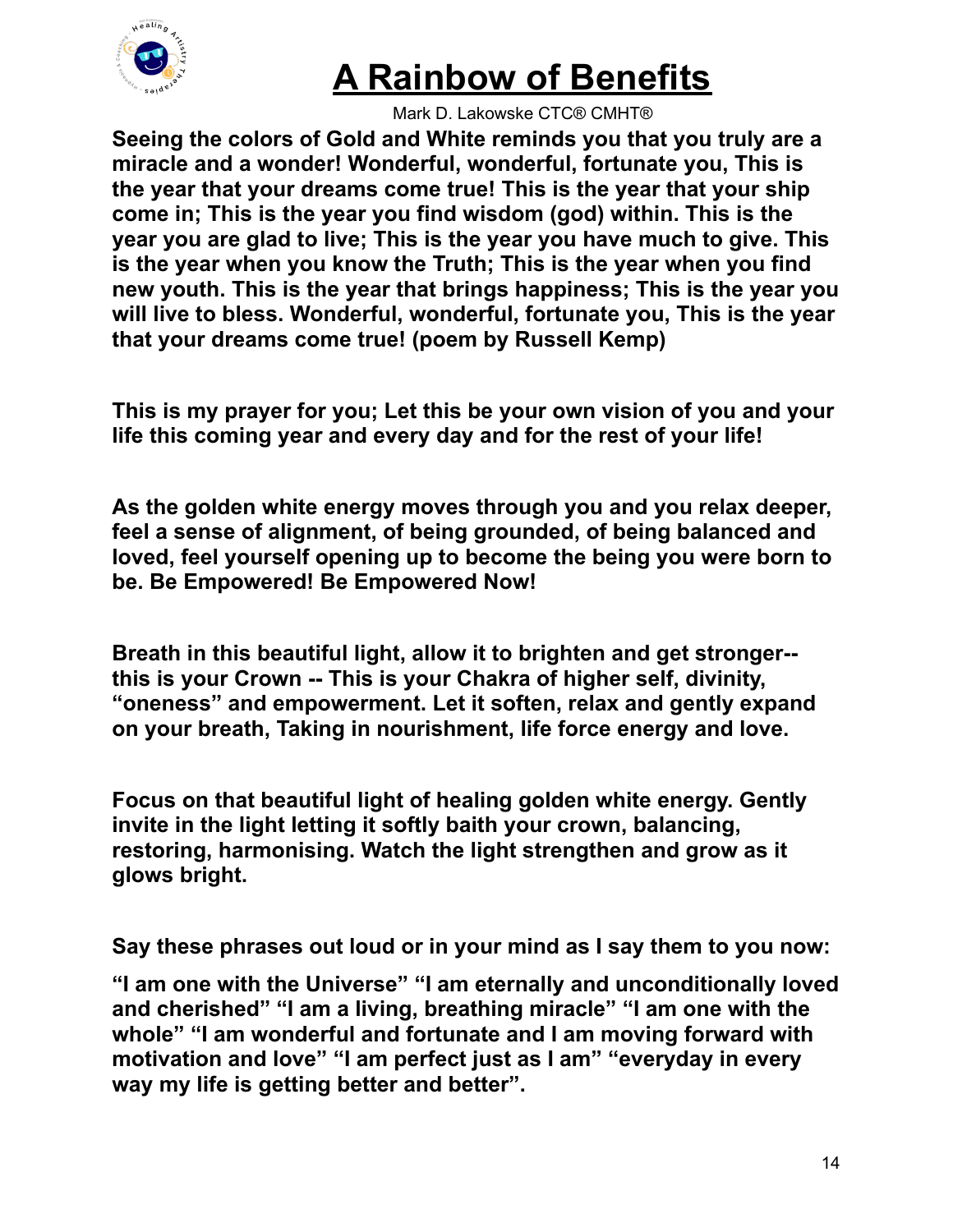

Mark D. Lakowske CTC® CMHT®

**Seeing the colors of Gold and White reminds you that you truly are a miracle and a wonder! Wonderful, wonderful, fortunate you, This is the year that your dreams come true! This is the year that your ship come in; This is the year you find wisdom (god) within. This is the year you are glad to live; This is the year you have much to give. This is the year when you know the Truth; This is the year when you find new youth. This is the year that brings happiness; This is the year you will live to bless. Wonderful, wonderful, fortunate you, This is the year that your dreams come true! (poem by Russell Kemp)**

**This is my prayer for you; Let this be your own vision of you and your life this coming year and every day and for the rest of your life!**

**As the golden white energy moves through you and you relax deeper, feel a sense of alignment, of being grounded, of being balanced and loved, feel yourself opening up to become the being you were born to be. Be Empowered! Be Empowered Now!**

**Breath in this beautiful light, allow it to brighten and get stronger- this is your Crown -- This is your Chakra of higher self, divinity, "oneness" and empowerment. Let it soften, relax and gently expand on your breath, Taking in nourishment, life force energy and love.**

**Focus on that beautiful light of healing golden white energy. Gently invite in the light letting it softly baith your crown, balancing, restoring, harmonising. Watch the light strengthen and grow as it glows bright.**

**Say these phrases out loud or in your mind as I say them to you now:**

**"I am one with the Universe" "I am eternally and unconditionally loved and cherished" "I am a living, breathing miracle" "I am one with the whole" "I am wonderful and fortunate and I am moving forward with motivation and love" "I am perfect just as I am" "everyday in every way my life is getting better and better".**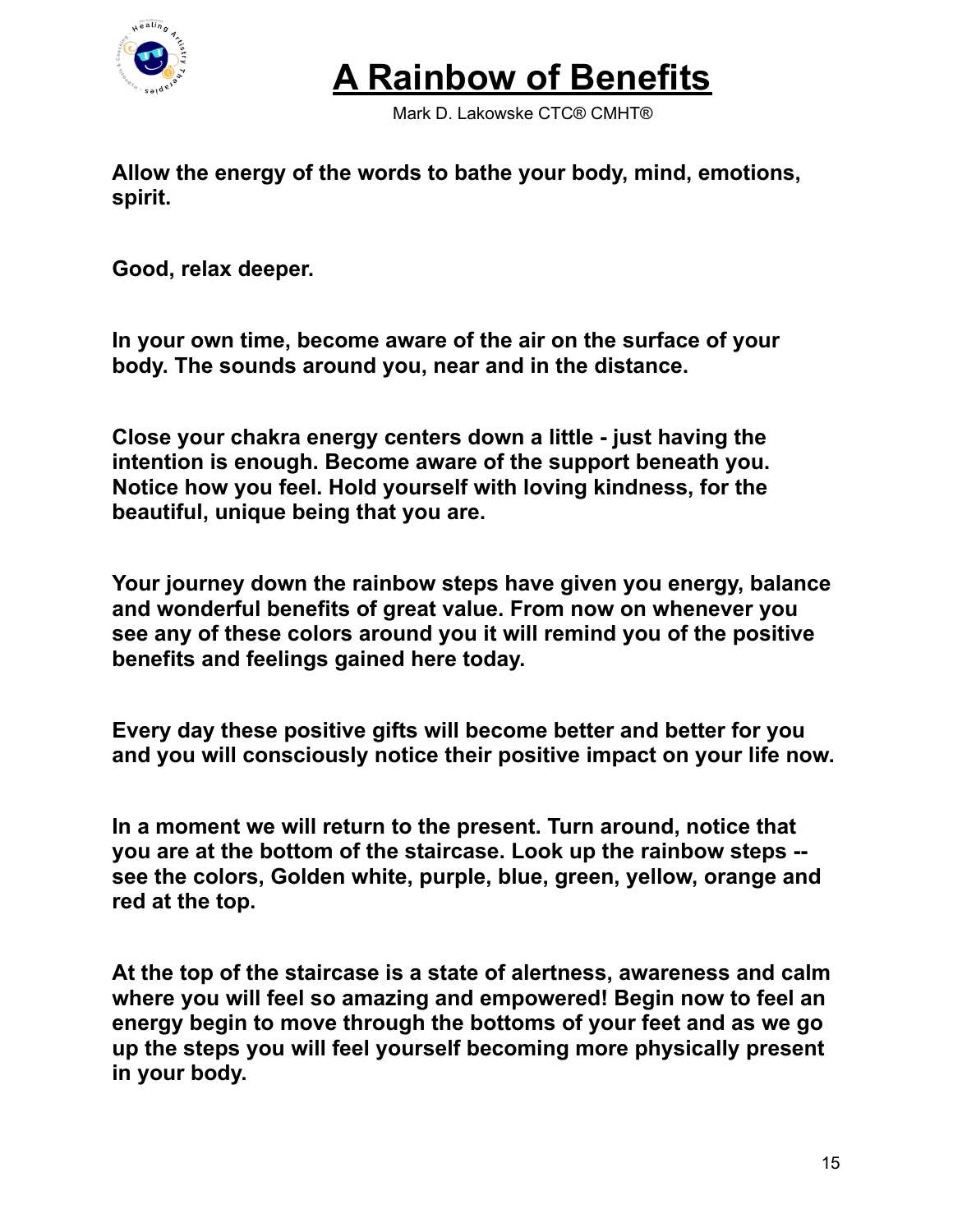

Mark D. Lakowske CTC® CMHT®

**Allow the energy of the words to bathe your body, mind, emotions, spirit.**

**Good, relax deeper.**

**In your own time, become aware of the air on the surface of your body. The sounds around you, near and in the distance.**

**Close your chakra energy centers down a little - just having the intention is enough. Become aware of the support beneath you. Notice how you feel. Hold yourself with loving kindness, for the beautiful, unique being that you are.**

**Your journey down the rainbow steps have given you energy, balance and wonderful benefits of great value. From now on whenever you see any of these colors around you it will remind you of the positive benefits and feelings gained here today.**

**Every day these positive gifts will become better and better for you and you will consciously notice their positive impact on your life now.**

**In a moment we will return to the present. Turn around, notice that you are at the bottom of the staircase. Look up the rainbow steps - see the colors, Golden white, purple, blue, green, yellow, orange and red at the top.**

**At the top of the staircase is a state of alertness, awareness and calm where you will feel so amazing and empowered! Begin now to feel an energy begin to move through the bottoms of your feet and as we go up the steps you will feel yourself becoming more physically present in your body.**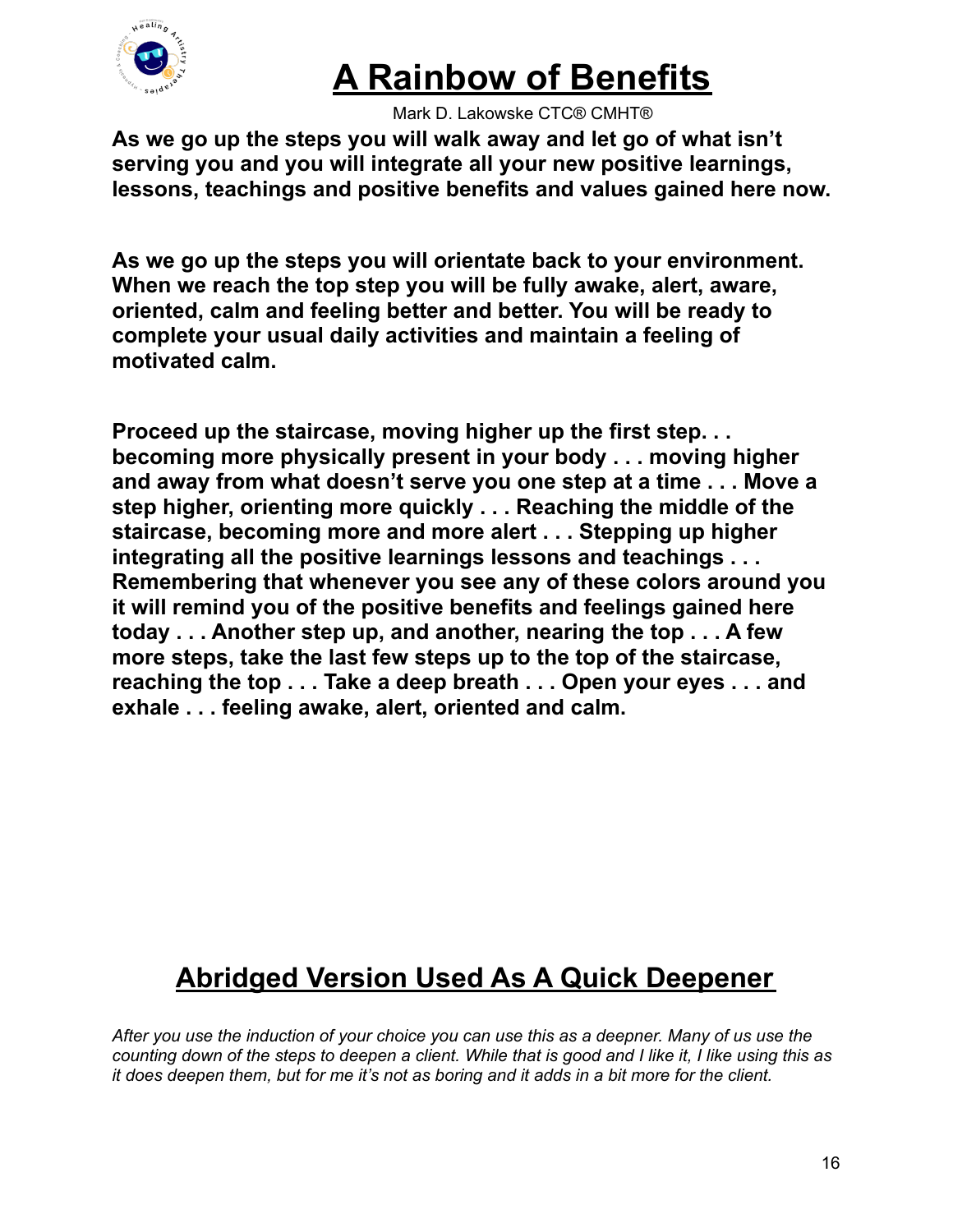

Mark D. Lakowske CTC® CMHT®

**As we go up the steps you will walk away and let go of what isn't serving you and you will integrate all your new positive learnings, lessons, teachings and positive benefits and values gained here now.**

**As we go up the steps you will orientate back to your environment. When we reach the top step you will be fully awake, alert, aware, oriented, calm and feeling better and better. You will be ready to complete your usual daily activities and maintain a feeling of motivated calm.**

**Proceed up the staircase, moving higher up the first step. . . becoming more physically present in your body . . . moving higher and away from what doesn't serve you one step at a time . . . Move a step higher, orienting more quickly . . . Reaching the middle of the staircase, becoming more and more alert . . . Stepping up higher integrating all the positive learnings lessons and teachings . . . Remembering that whenever you see any of these colors around you it will remind you of the positive benefits and feelings gained here today . . . Another step up, and another, nearing the top . . . A few more steps, take the last few steps up to the top of the staircase, reaching the top . . . Take a deep breath . . . Open your eyes . . . and exhale . . . feeling awake, alert, oriented and calm.**

#### **Abridged Version Used As A Quick Deepener**

After you use the induction of your choice you can use this as a deepner. Many of us use the counting down of the steps to deepen a client. While that is good and I like it, I like using this as it does deepen them, but for me it's not as boring and it adds in a bit more for the client.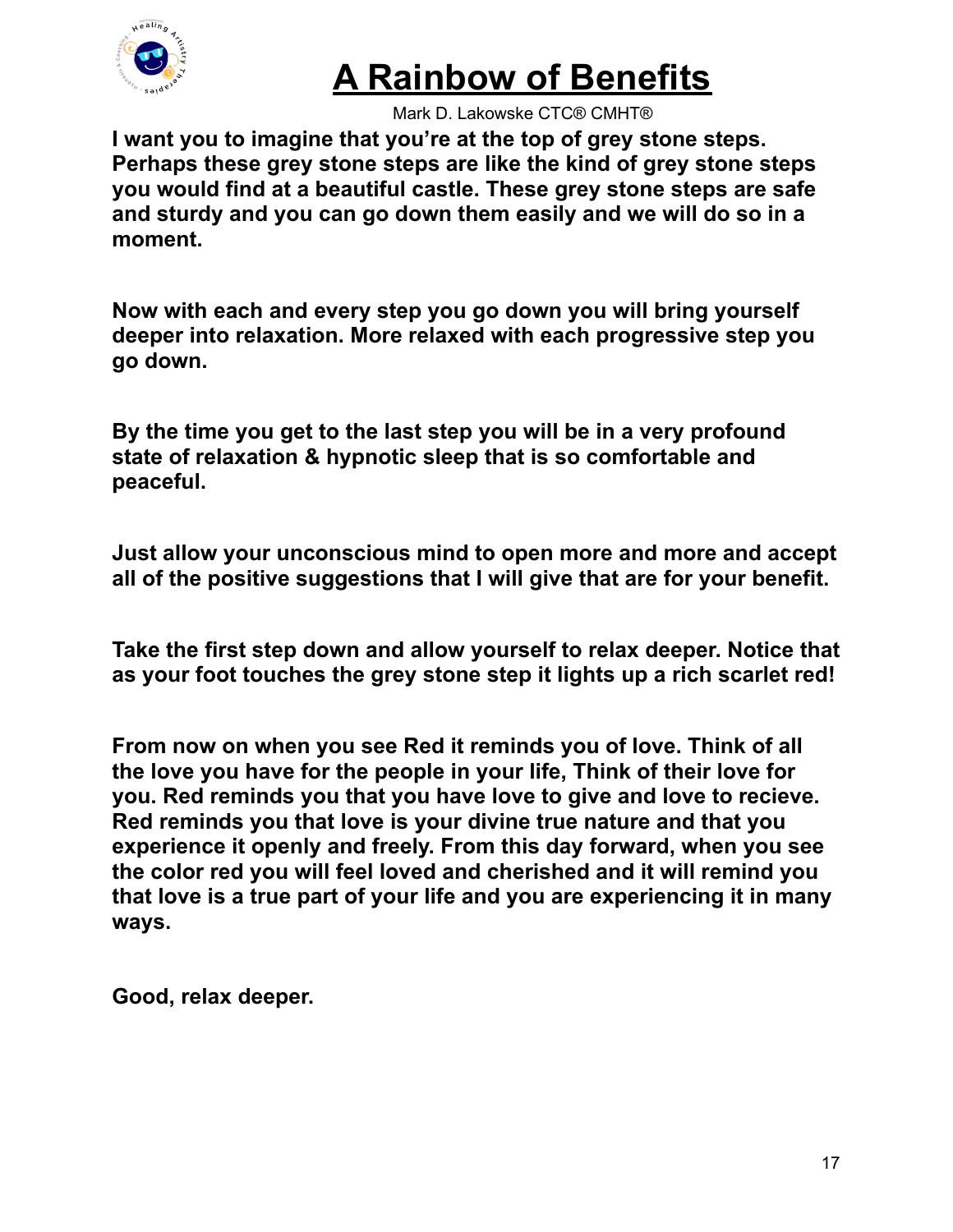

Mark D. Lakowske CTC® CMHT®

**I want you to imagine that you're at the top of grey stone steps. Perhaps these grey stone steps are like the kind of grey stone steps you would find at a beautiful castle. These grey stone steps are safe and sturdy and you can go down them easily and we will do so in a moment.**

**Now with each and every step you go down you will bring yourself deeper into relaxation. More relaxed with each progressive step you go down.**

**By the time you get to the last step you will be in a very profound state of relaxation & hypnotic sleep that is so comfortable and peaceful.**

**Just allow your unconscious mind to open more and more and accept all of the positive suggestions that I will give that are for your benefit.**

**Take the first step down and allow yourself to relax deeper. Notice that as your foot touches the grey stone step it lights up a rich scarlet red!**

**From now on when you see Red it reminds you of love. Think of all the love you have for the people in your life, Think of their love for you. Red reminds you that you have love to give and love to recieve. Red reminds you that love is your divine true nature and that you experience it openly and freely. From this day forward, when you see the color red you will feel loved and cherished and it will remind you that love is a true part of your life and you are experiencing it in many ways.**

**Good, relax deeper.**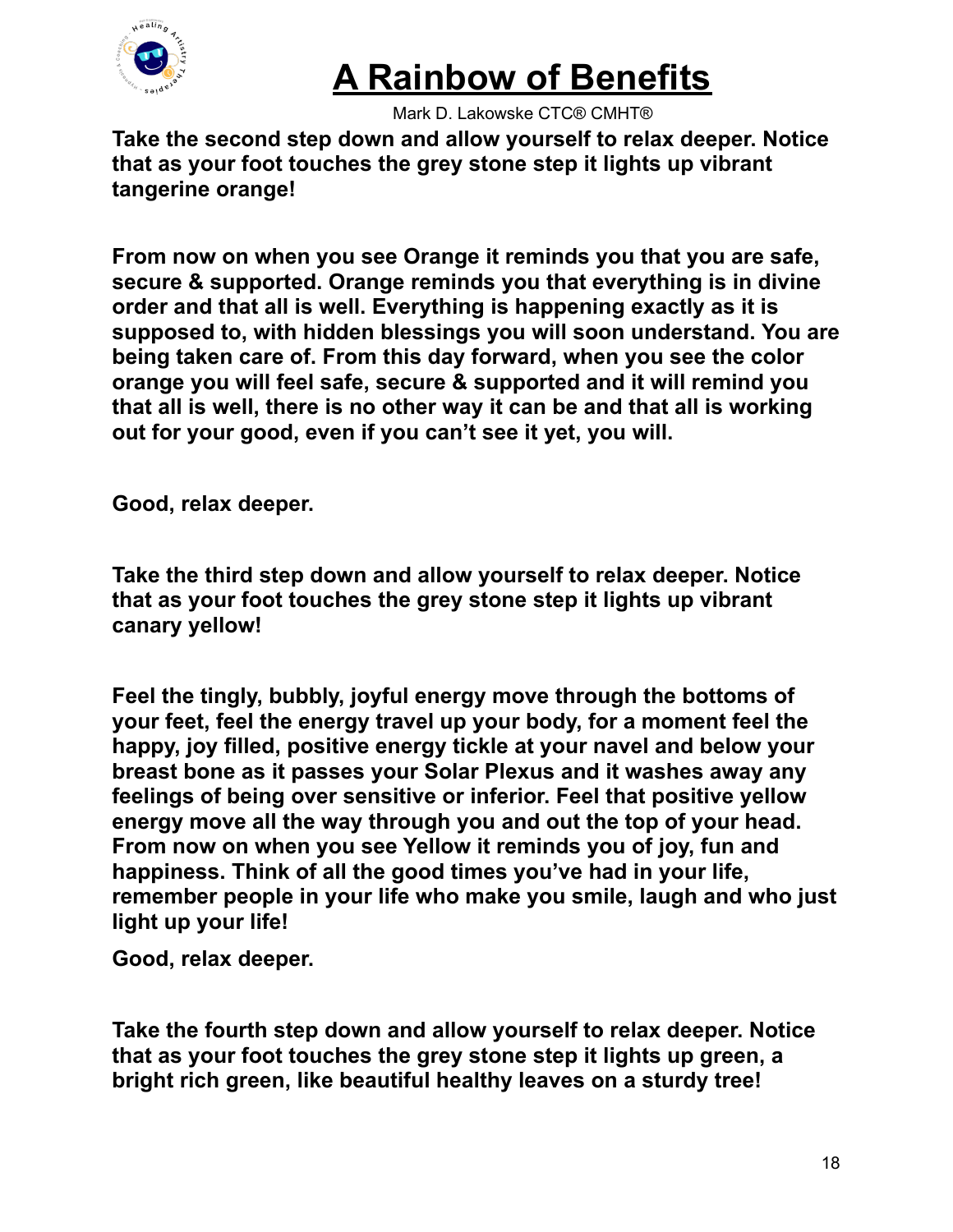

Mark D. Lakowske CTC® CMHT®

**Take the second step down and allow yourself to relax deeper. Notice that as your foot touches the grey stone step it lights up vibrant tangerine orange!**

**From now on when you see Orange it reminds you that you are safe, secure & supported. Orange reminds you that everything is in divine order and that all is well. Everything is happening exactly as it is supposed to, with hidden blessings you will soon understand. You are being taken care of. From this day forward, when you see the color orange you will feel safe, secure & supported and it will remind you that all is well, there is no other way it can be and that all is working out for your good, even if you can't see it yet, you will.**

**Good, relax deeper.**

**Take the third step down and allow yourself to relax deeper. Notice that as your foot touches the grey stone step it lights up vibrant canary yellow!**

**Feel the tingly, bubbly, joyful energy move through the bottoms of your feet, feel the energy travel up your body, for a moment feel the happy, joy filled, positive energy tickle at your navel and below your breast bone as it passes your Solar Plexus and it washes away any feelings of being over sensitive or inferior. Feel that positive yellow energy move all the way through you and out the top of your head. From now on when you see Yellow it reminds you of joy, fun and happiness. Think of all the good times you've had in your life, remember people in your life who make you smile, laugh and who just light up your life!**

**Good, relax deeper.**

**Take the fourth step down and allow yourself to relax deeper. Notice that as your foot touches the grey stone step it lights up green, a bright rich green, like beautiful healthy leaves on a sturdy tree!**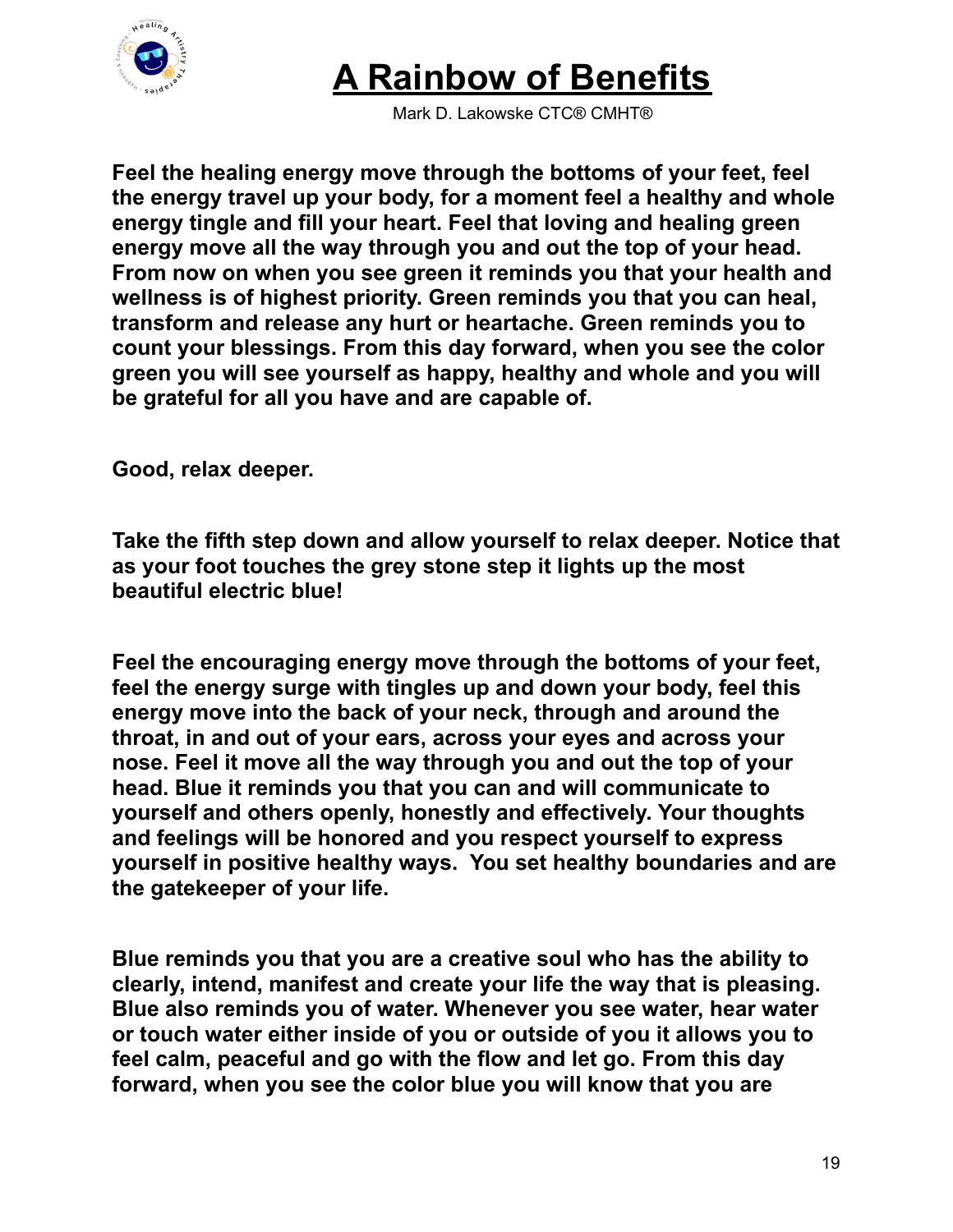

Mark D. Lakowske CTC® CMHT®

**Feel the healing energy move through the bottoms of your feet, feel the energy travel up your body, for a moment feel a healthy and whole energy tingle and fill your heart. Feel that loving and healing green energy move all the way through you and out the top of your head. From now on when you see green it reminds you that your health and wellness is of highest priority. Green reminds you that you can heal, transform and release any hurt or heartache. Green reminds you to count your blessings. From this day forward, when you see the color green you will see yourself as happy, healthy and whole and you will be grateful for all you have and are capable of.**

**Good, relax deeper.**

**Take the fifth step down and allow yourself to relax deeper. Notice that as your foot touches the grey stone step it lights up the most beautiful electric blue!**

**Feel the encouraging energy move through the bottoms of your feet, feel the energy surge with tingles up and down your body, feel this energy move into the back of your neck, through and around the throat, in and out of your ears, across your eyes and across your nose. Feel it move all the way through you and out the top of your head. Blue it reminds you that you can and will communicate to yourself and others openly, honestly and effectively. Your thoughts and feelings will be honored and you respect yourself to express yourself in positive healthy ways. You set healthy boundaries and are the gatekeeper of your life.**

**Blue reminds you that you are a creative soul who has the ability to clearly, intend, manifest and create your life the way that is pleasing. Blue also reminds you of water. Whenever you see water, hear water or touch water either inside of you or outside of you it allows you to feel calm, peaceful and go with the flow and let go. From this day forward, when you see the color blue you will know that you are**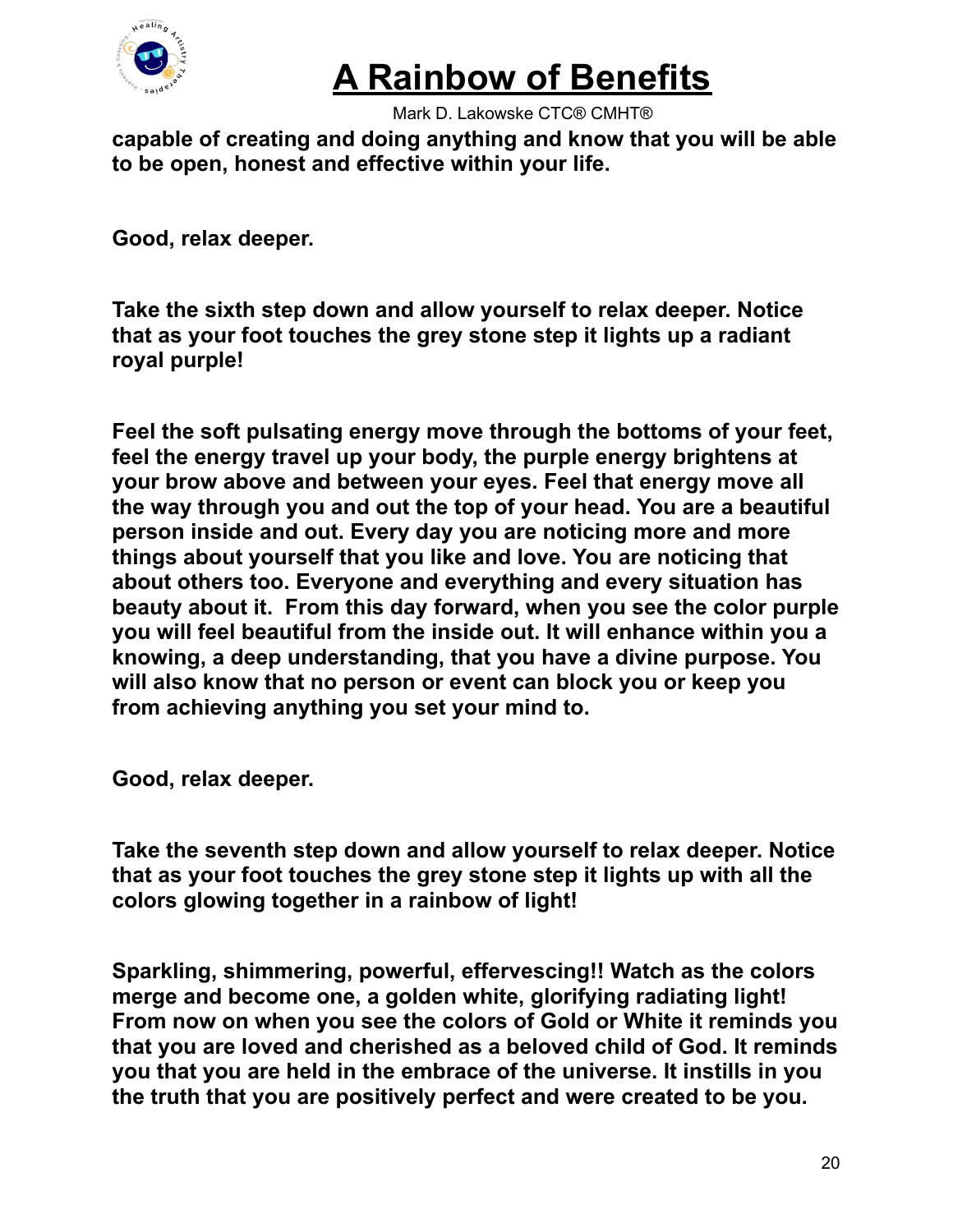

Mark D. Lakowske CTC® CMHT®

**capable of creating and doing anything and know that you will be able to be open, honest and effective within your life.**

**Good, relax deeper.**

**Take the sixth step down and allow yourself to relax deeper. Notice that as your foot touches the grey stone step it lights up a radiant royal purple!**

**Feel the soft pulsating energy move through the bottoms of your feet, feel the energy travel up your body, the purple energy brightens at your brow above and between your eyes. Feel that energy move all the way through you and out the top of your head. You are a beautiful person inside and out. Every day you are noticing more and more things about yourself that you like and love. You are noticing that about others too. Everyone and everything and every situation has beauty about it. From this day forward, when you see the color purple you will feel beautiful from the inside out. It will enhance within you a knowing, a deep understanding, that you have a divine purpose. You will also know that no person or event can block you or keep you from achieving anything you set your mind to.**

**Good, relax deeper.**

**Take the seventh step down and allow yourself to relax deeper. Notice that as your foot touches the grey stone step it lights up with all the colors glowing together in a rainbow of light!**

**Sparkling, shimmering, powerful, effervescing!! Watch as the colors merge and become one, a golden white, glorifying radiating light! From now on when you see the colors of Gold or White it reminds you that you are loved and cherished as a beloved child of God. It reminds you that you are held in the embrace of the universe. It instills in you the truth that you are positively perfect and were created to be you.**